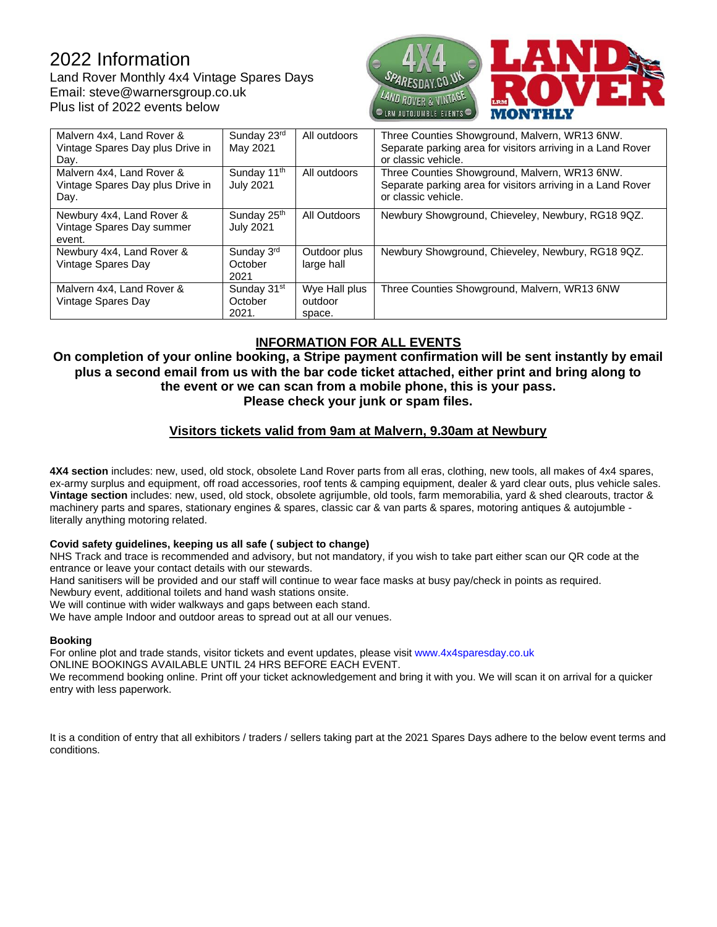# 2022 Information

Land Rover Monthly 4x4 Vintage Spares Days Email: steve@warnersgroup.co.uk Plus list of 2022 events below



| Malvern 4x4, Land Rover &<br>Vintage Spares Day plus Drive in<br>Day. | Sunday 23rd<br>May 2021                     | All outdoors                       | Three Counties Showground, Malvern, WR13 6NW.<br>Separate parking area for visitors arriving in a Land Rover<br>or classic vehicle. |
|-----------------------------------------------------------------------|---------------------------------------------|------------------------------------|-------------------------------------------------------------------------------------------------------------------------------------|
| Malvern 4x4, Land Rover &<br>Vintage Spares Day plus Drive in<br>Day. | Sunday 11 <sup>th</sup><br><b>July 2021</b> | All outdoors                       | Three Counties Showground, Malvern, WR13 6NW.<br>Separate parking area for visitors arriving in a Land Rover<br>or classic vehicle. |
| Newbury 4x4, Land Rover &<br>Vintage Spares Day summer<br>event.      | Sunday 25th<br><b>July 2021</b>             | All Outdoors                       | Newbury Showground, Chieveley, Newbury, RG18 9QZ.                                                                                   |
| Newbury 4x4, Land Rover &<br>Vintage Spares Day                       | Sunday 3rd<br>October<br>2021               | Outdoor plus<br>large hall         | Newbury Showground, Chieveley, Newbury, RG18 9QZ.                                                                                   |
| Malvern 4x4, Land Rover &<br>Vintage Spares Day                       | Sunday 31 <sup>st</sup><br>October<br>2021. | Wye Hall plus<br>outdoor<br>space. | Three Counties Showground, Malvern, WR13 6NW                                                                                        |

## **INFORMATION FOR ALL EVENTS**

**On completion of your online booking, a Stripe payment confirmation will be sent instantly by email plus a second email from us with the bar code ticket attached, either print and bring along to the event or we can scan from a mobile phone, this is your pass. Please check your junk or spam files.**

## **Visitors tickets valid from 9am at Malvern, 9.30am at Newbury**

**4X4 section** includes: new, used, old stock, obsolete Land Rover parts from all eras, clothing, new tools, all makes of 4x4 spares, ex-army surplus and equipment, off road accessories, roof tents & camping equipment, dealer & yard clear outs, plus vehicle sales. **Vintage section** includes: new, used, old stock, obsolete agrijumble, old tools, farm memorabilia, yard & shed clearouts, tractor & machinery parts and spares, stationary engines & spares, classic car & van parts & spares, motoring antiques & autojumble literally anything motoring related.

#### **Covid safety guidelines, keeping us all safe ( subject to change)**

NHS Track and trace is recommended and advisory, but not mandatory, if you wish to take part either scan our QR code at the entrance or leave your contact details with our stewards.

Hand sanitisers will be provided and our staff will continue to wear face masks at busy pay/check in points as required.

Newbury event, additional toilets and hand wash stations onsite.

We will continue with wider walkways and gaps between each stand.

We have ample Indoor and outdoor areas to spread out at all our venues.

#### **Booking**

For online plot and trade stands, visitor tickets and event updates, please visit [www.4x4sparesday.co.uk](http://www.4x4sparesday.co.uk/)

ONLINE BOOKINGS AVAILABLE UNTIL 24 HRS BEFORE EACH EVENT.

We recommend booking online. Print off your ticket acknowledgement and bring it with you. We will scan it on arrival for a quicker entry with less paperwork.

It is a condition of entry that all exhibitors / traders / sellers taking part at the 2021 Spares Days adhere to the below event terms and conditions.